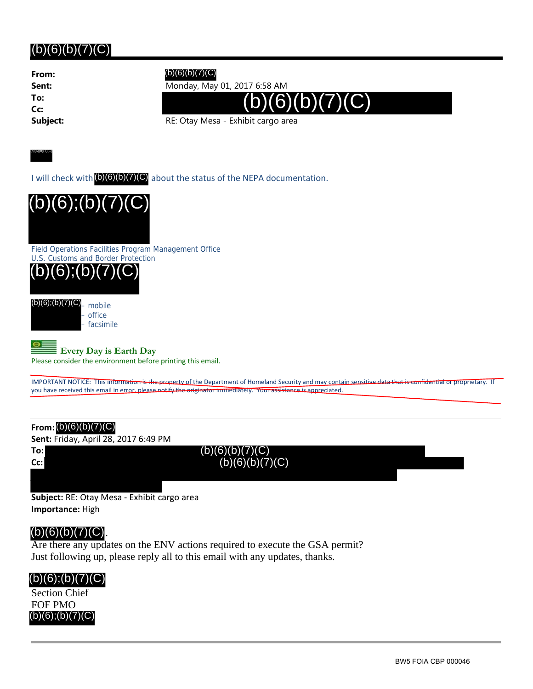**From: To: Cc:**

### (b)(6)(b)(7)(C)

**Sent:** Monday, May 01, 2017 6:58 AM



**Subject:** RE: Otay Mesa - Exhibit cargo area

(b)(6)(b)(7)(C)

I will check with (b)(6)(b)(7)(C) about the status of the NEPA documentation.



Field Operations Facilities Program Management Office



 $(b)(6)$ ; $(b)(7)(C)$ <sub>— mobile</sub> – office facsimile

 $\Theta$  = **Every Day is Earth Day**

Please consider the environment before printing this email.

IMPORTANT NOTICE: This information is the property of the Department of Homeland Security and may contain sensitive data that is confidential or proprietary. If you have received this email in error, please notify the originator immediately. Your assistance is appreciated

#### **From:** (b)(6)(b)(7)(C)

**Sent:** Friday, April 28, 2017 6:49 PM

**To: Cc:**  $(b)(6)(b)(7)(C)$ (b)(6)(b)(7)(C)

**Subject:** RE: Otay Mesa ‐ Exhibit cargo area **Importance:** High

#### .  $(b)(6)(b)(7)(C)$

Are there any updates on the ENV actions required to execute the GSA permit? Just following up, please reply all to this email with any updates, thanks.



BW5 FOIA CBP 000046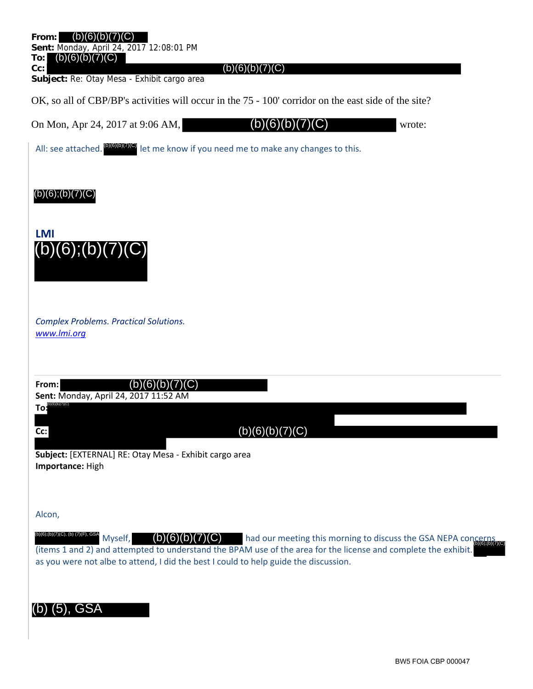| From:<br>(b)(6)<br>Sent: Monday, April 24, 2017 12:08:01 PM<br>(b)(6)(b)(7)(C)<br>To:<br>$(b)(6)(b)(7)(\overline{C})$<br>Cc:<br>Subject: Re: Otay Mesa - Exhibit cargo area                                                                                                                                                                |
|--------------------------------------------------------------------------------------------------------------------------------------------------------------------------------------------------------------------------------------------------------------------------------------------------------------------------------------------|
| OK, so all of CBP/BP's activities will occur in the 75 - 100' corridor on the east side of the site?                                                                                                                                                                                                                                       |
| On Mon, Apr 24, 2017 at 9:06 AM,<br>C)<br>(b)<br>6)<br>wrote:<br>D)                                                                                                                                                                                                                                                                        |
| All: see attached. <sup>(DIGID</sup> IO) let me know if you need me to make any changes to this.                                                                                                                                                                                                                                           |
| $(b)(6)$ ; $(b)(7)(C)$<br><b>LMI</b><br>$(b)(6)$ ; $(b)(7)(C)$                                                                                                                                                                                                                                                                             |
| <b>Complex Problems. Practical Solutions.</b><br>www.lmi.org                                                                                                                                                                                                                                                                               |
| (b)(6)(b)(7)(C)<br>From:<br>Sent: Monday, April 24, 2017 11:52 AM<br>Toi<br>(b)(6)(b)(7)(C)<br>Cc:<br>Subject: [EXTERNAL] RE: Otay Mesa - Exhibit cargo area                                                                                                                                                                               |
| Importance: High<br>Alcon,                                                                                                                                                                                                                                                                                                                 |
| (b)(6);(b)(7)(C), (b) (7)(F), GSA<br>(b)(6)(b)(7)(C)<br>Myself,<br>had our meeting this morning to discuss the GSA NEPA concerns<br>(items 1 and 2) and attempted to understand the BPAM use of the area for the license and complete the exhibit.<br>as you were not albe to attend, I did the best I could to help guide the discussion. |
| $(5)$ , GSA                                                                                                                                                                                                                                                                                                                                |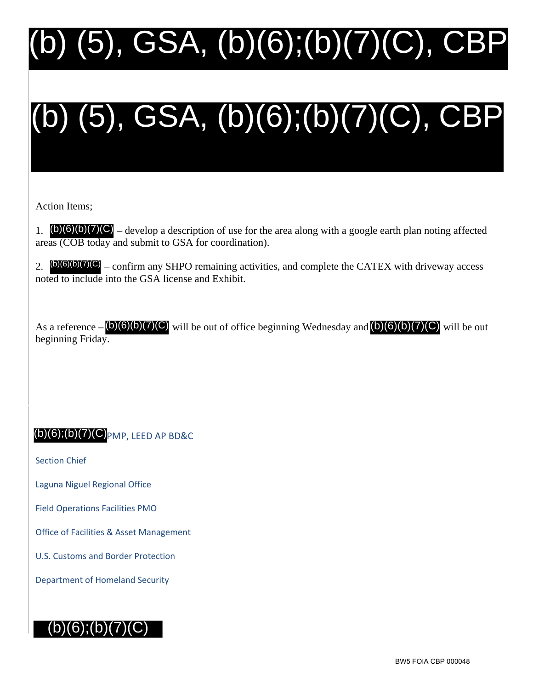# (b) (5), GSA, (b)(6);(b)(7)(C), CBP

# (b) (5), GSA, (b)(6);(b)(7)(C), CBP

Action Items;

1.  $(b)(6)(b)(7)(C)$  – develop a description of use for the area along with a google earth plan noting affected areas (COB today and submit to GSA for coordination).

2.  $(b)(6)(b)(7)(C)$  – confirm any SHPO remaining activities, and complete the CATEX with driveway access noted to include into the GSA license and Exhibit.

As a reference  $-\frac{(b)(6)(b)(7)(C)}{b}$  will be out of office beginning Wednesday and  $\frac{(b)(6)(b)(7)(C)}{b}$  will be out beginning Friday.

## $\mathsf{p}(6)$ ; $\mathsf{b}(7)$ (C) $\mathsf{p}_{\mathsf{M}}$ p, leed ap bd&c

Section Chief

Laguna Niguel Regional Office

Field Operations Facilities PMO

Office of Facilities & Asset Management

U.S. Customs and Border Protection

Department of Homeland Security

# $(b)(6);(b)(7)(C)$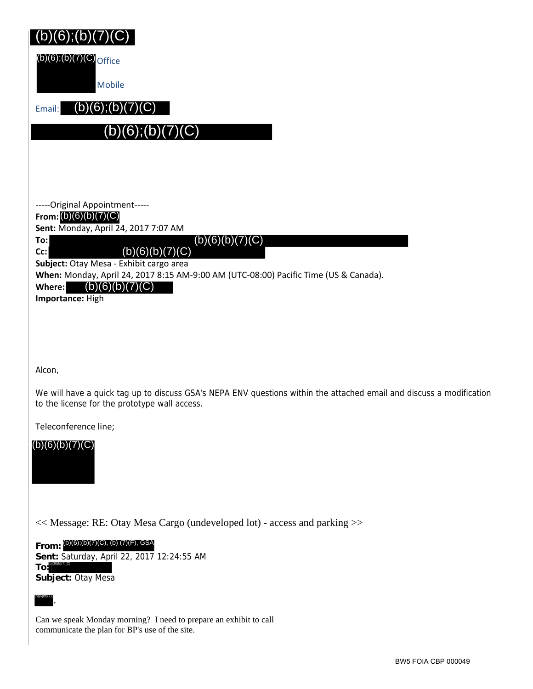(b)(6);(b)(7)(C) <sub>Office</sub>

Mobile

Email:  $(b)(6)$ ; $(b)(7)(C)$ 

(b)(6);(b)(7)(C)

‐‐‐‐‐Original Appointment‐‐‐‐‐

**From:** (b)(6)(b)(7)(C)

**Sent:** Monday, April 24, 2017 7:07 AM

 $(b)(6)(b)(7)(C)$ 

**Cc:**

**To:**

 $(b)(6)(b)(7)(C)$ 

**Subject:** Otay Mesa ‐ Exhibit cargo area

**When:** Monday, April 24, 2017 8:15 AM‐9:00 AM (UTC‐08:00) Pacific Time (US & Canada).

**Where:**  $(b)(6)(b)(7)(C)$ 

**Importance:** High

Alcon,

We will have a quick tag up to discuss GSA's NEPA ENV questions within the attached email and discuss a modification to the license for the prototype wall access.

Teleconference line;

### (b)(6)(b)(7)(C)



<< Message: RE: Otay Mesa Cargo (undeveloped lot) - access and parking >>

**From:** (b)(6);(b)(7)(C), (b) (7)(F), GSA**Sent:** Saturday, April 22, 2017 12:24:55 AM **To:** (b)(6)(b)(7)(C) (b)(6);(b)(7)(C) office<br>
Mobile<br>
Email: (b)(6);(b)(7)(C) office<br>
Mobile<br>
Email: (b)(6);(b)(<br>
(b)(6);(b)(<br>
(b)(6);(b)(7)(C)<br>
Sent: Monday, April 24,<br>
To:<br>
Subject: Otay Mesa - Ext<br>
When: Monday, April 24<br>
Where: (b)(6)(b)(

**Subject:** Otay Mesa

,

Can we speak Monday morning? I need to prepare an exhibit to call communicate the plan for BP's use of the site.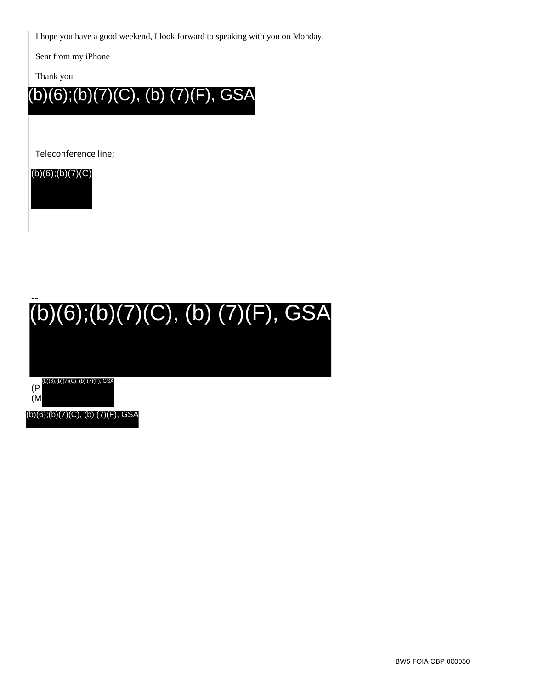BW5 FOIA CBP 000050

I hope you have a good weekend, I look forward to speaking with you on Monday.

Sent from my iPhone

Thank you.

(b)(6);(b)(7)(C), (b) (7)(F), GSA

Teleconference line;

(b)(6);(b)(7)(C)

# -- (b)(6);(b)(7)(C), (b) (7)(F), GSA

(P (M (b)(6);(b)(7)(C), (b) (7)(F), GSA

(b)(6);(b)(7)(C), (b) (7)(F), GSA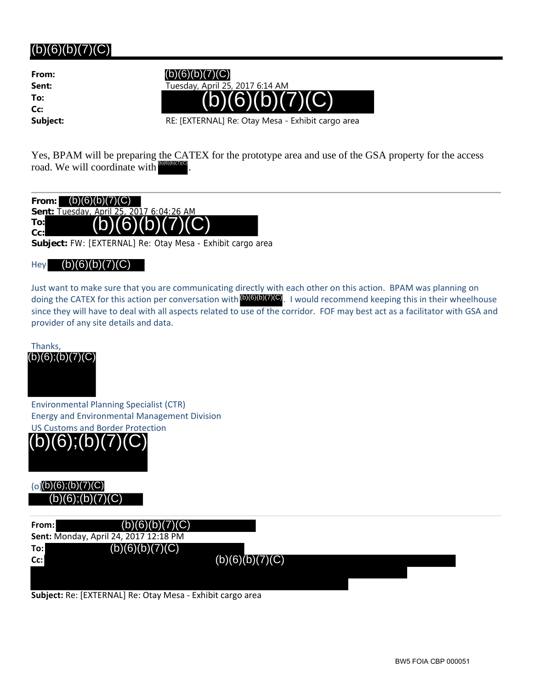**From: To: Cc:**

 $(b)(6)(b)(7)(C)$ 

**Sent:** Tuesday, April 25, 2017 6:14 AM  $(b)(6)(b)(7)(C)$ 

**Subject:** RE: [EXTERNAL] Re: Otay Mesa - Exhibit cargo area

Yes, BPAM will be preparing the CATEX for the prototype area and use of the GSA property for the access road. We will coordinate with . (b)(6)(b)(7)(C)



**Subject:** FW: [EXTERNAL] Re: Otay Mesa - Exhibit cargo area

#### Hey (b)(6)(b)(7)(C)

Just want to make sure that you are communicating directly with each other on this action. BPAM was planning on doing the CATEX for this action per conversation with  $[6)(6)(5)(7)(C)$ . I would recommend keeping this in their wheelhouse since they will have to deal with all aspects related to use of the corridor. FOF may best act as a facilitator with GSA and provider of any site details and data.

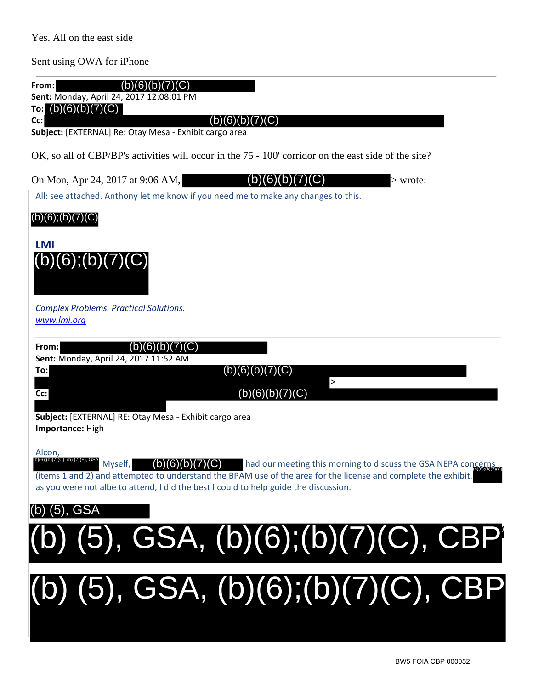Yes. All on the east side

Sent using OWA for iPhone

| (b)(6)(b)(7)(C)<br>From:<br>Sent: Monday, April 24, 2017 12:08:01 PM<br>(b)(6)(b)(7)(C)<br>To:<br>(b)(6)(b)(7)(C)<br>Cc:<br>Subject: [EXTERNAL] Re: Otay Mesa - Exhibit cargo area                                                                                                                                                                                                                |
|---------------------------------------------------------------------------------------------------------------------------------------------------------------------------------------------------------------------------------------------------------------------------------------------------------------------------------------------------------------------------------------------------|
| OK, so all of CBP/BP's activities will occur in the 75 - 100' corridor on the east side of the site?                                                                                                                                                                                                                                                                                              |
| On Mon, Apr 24, 2017 at 9:06 AM,<br>(6)<br>(C)<br>(b)<br>b()<br>$>$ wrote:<br>All: see attached. Anthony let me know if you need me to make any changes to this.                                                                                                                                                                                                                                  |
| $(b)(6)$ ; $(b)(7)(C)$                                                                                                                                                                                                                                                                                                                                                                            |
| <b>LMI</b><br>(b)(6); (b)(7)(C)                                                                                                                                                                                                                                                                                                                                                                   |
| <b>Complex Problems. Practical Solutions.</b><br>www.lmi.org                                                                                                                                                                                                                                                                                                                                      |
| (b)(6)(b)(7)(C)<br>From:                                                                                                                                                                                                                                                                                                                                                                          |
| Sent: Monday, April 24, 2017 11:52 AM<br>(b)(6)(b)(7)(C)<br>To:                                                                                                                                                                                                                                                                                                                                   |
| $\,>$<br>(b)(6)(b)(7)(C)<br>Cc:                                                                                                                                                                                                                                                                                                                                                                   |
| Subject: [EXTERNAL] RE: Otay Mesa - Exhibit cargo area<br>Importance: High                                                                                                                                                                                                                                                                                                                        |
| Alcon,<br>(6);(b)(7)(C), (b) (7)(F), GSA<br>Myself,<br>$\mathsf{(b)}\mathsf{(6)}\mathsf{(b)}\mathsf{(7)}\mathsf{(C)}$ had our meeting this morning to discuss the GSA NEPA concernation<br>(items 1 and 2) and attempted to understand the BPAM use of the area for the license and complete the exhibit.<br>as you were not albe to attend, I did the best I could to help guide the discussion. |
| (b) (5), GSA                                                                                                                                                                                                                                                                                                                                                                                      |
| (b) (5), GSA, (b)(6);(b)(7)(C), CBP)                                                                                                                                                                                                                                                                                                                                                              |
| (b) (5), GSA, (b)(6);(b)(7)(C), CBP                                                                                                                                                                                                                                                                                                                                                               |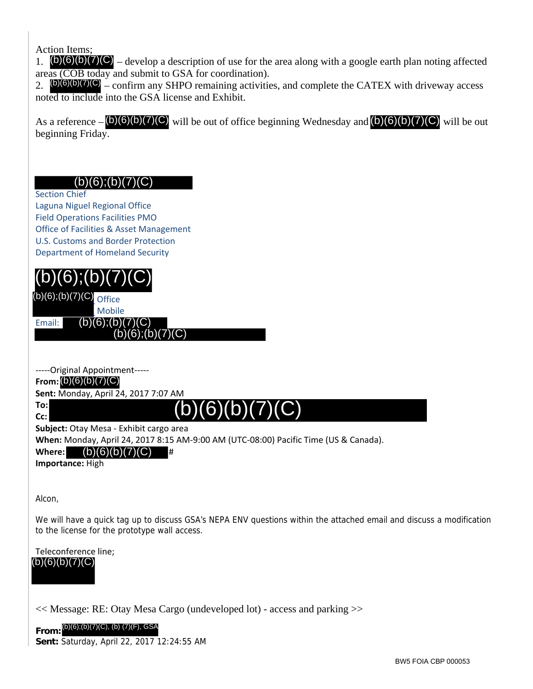Action Items;

1.  $(b)(6)(b)(7)(C)$  – develop a description of use for the area along with a google earth plan noting affected areas (COB today and submit to GSA for coordination).

2.  $(b)(6)(b)(7)(C)$  – confirm any SHPO remaining activities, and complete the CATEX with driveway access noted to include into the GSA license and Exhibit.

As a reference  $-\frac{(b)(6)(b)(7)(C)}{b}$  will be out of office beginning Wednesday and  $\frac{(b)(6)(b)(7)(C)}{b}$  will be out beginning Friday.

### $(b)(6);(b)(7)(C)$

Section Chief

Laguna Niguel Regional Office Field Operations Facilities PMO Office of Facilities & Asset Management U.S. Customs and Border Protection Department of Homeland Security



‐‐‐‐‐Original Appointment‐‐‐‐‐

**From:** (b)(6)(b)(7)(C)

**Sent:** Monday, April 24, 2017 7:07 AM

**To: Cc:**

# $(b)(6)(b)(7)(C)$

**Subject:** Otay Mesa ‐ Exhibit cargo area

**When:** Monday, April 24, 2017 8:15 AM‐9:00 AM (UTC‐08:00) Pacific Time (US & Canada).

Where: (b)(6)(b)(7)(C) #

**Importance:** High

Alcon,

We will have a quick tag up to discuss GSA's NEPA ENV questions within the attached email and discuss a modification to the license for the prototype wall access.

Teleconference line;  $(b)(6)(b)(7)(C)$ 

<< Message: RE: Otay Mesa Cargo (undeveloped lot) - access and parking >>

**From: Sent:** Saturday, April 22, 2017 12:24:55 AM (b)(6);(b)(7)(C), (b) (7)(F), GSA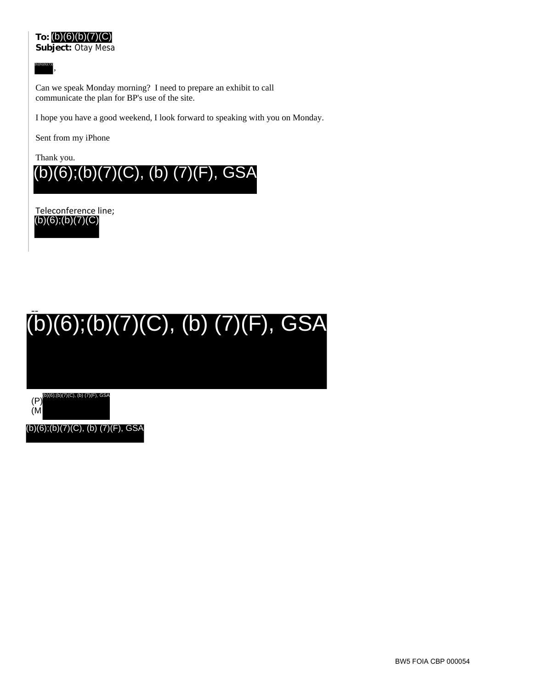**Subject:** Otay Mesa



,

Can we speak Monday morning? I need to prepare an exhibit to call communicate the plan for BP's use of the site.

I hope you have a good weekend, I look forward to speaking with you on Monday.

Sent from my iPhone

Thank you.



Teleconference line;  $(b)(6)$ ; $(b)(7)(C)$ 

# -- (b)(6);(b)(7)(C), (b) (7)(F), GSA

(P) (b)(6);(b)(7)(C), (b) (7)(F), GSA

(M

(b)(6);(b)(7)(C), (b) (7)(F), GSA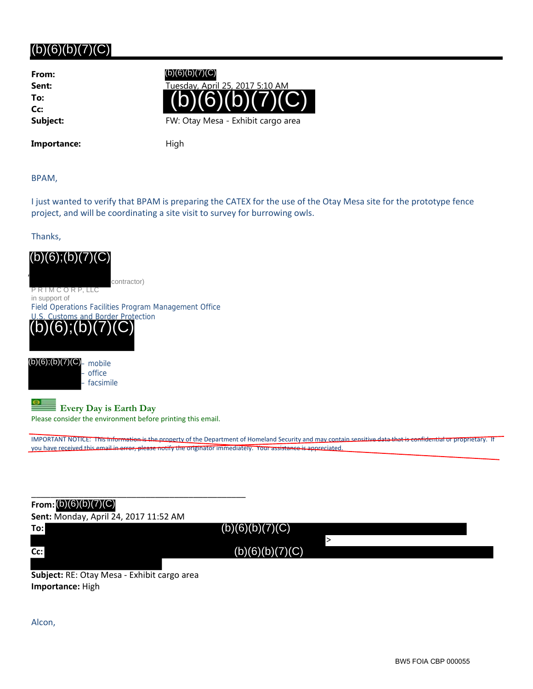**From: To: Cc:**

(b)(6)(b)(7)(C)



Importance: High

BPAM,

I just wanted to verify that BPAM is preparing the CATEX for the use of the Otay Mesa site for the prototype fence project, and will be coordinating a site visit to survey for burrowing owls.

Thanks,



\_\_\_\_\_\_\_\_\_\_\_\_\_\_\_\_\_\_\_\_\_\_\_\_\_\_\_\_\_\_\_\_\_\_\_\_\_\_\_\_\_\_\_\_\_ **From:** (b)(6)(b)(7)(C) **Sent:** Monday, April 24, 2017 11:52 AM

| To: | __<br>(b)(6)(b)(7)(C) |
|-----|-----------------------|
|     |                       |
| Cc: | (b)(6)(b)(7)(C)       |
|     |                       |

**Subject:** RE: Otay Mesa ‐ Exhibit cargo area **Importance:** High

Alcon,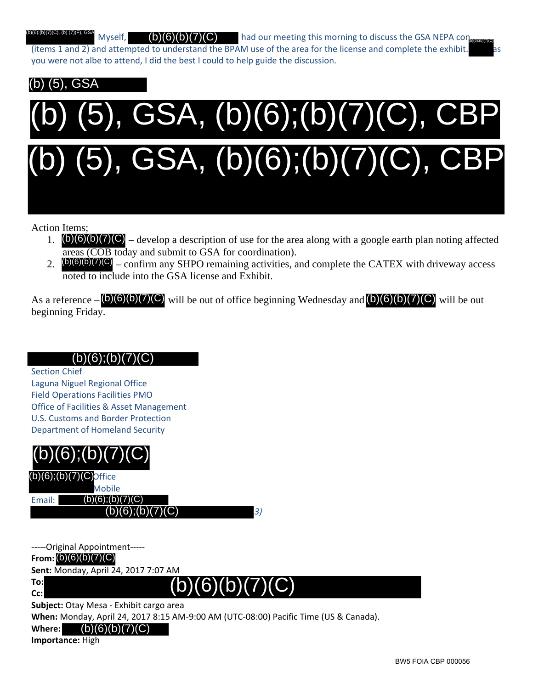Myself,  $\bigcirc$  (b)(6)(b)(7)(C) had our meeting this morning to discuss the GSA NEPA contractor  $(i$ tems 1 and 2) and attempted to understand the BPAM use of the area for the license and complete the exhibit. you were not albe to attend, I did the best I could to help guide the discussion. (b)(6);(b)(7)(C), (b) (7)(F), GSA

## (b) (5), GSA

# (b) (5), GSA, (b)(6);(b)(7)(C), CBP (b) (5), GSA, (b)(6);(b)(7)(C), CBP

Action Items;

- 1.  $(b)(6)(b)(7)(C)$  develop a description of use for the area along with a google earth plan noting affected areas (COB today and submit to GSA for coordination).
- 2.  $(b)(6)(b)(7)(C)$  confirm any SHPO remaining activities, and complete the CATEX with driveway access noted to include into the GSA license and Exhibit.

As a reference  $-\frac{(b)(6)(b)(7)(C)}{b}$  will be out of office beginning Wednesday and  $\frac{(b)(6)(b)(7)(C)}{b}$  will be out beginning Friday.

## (b)(6);(b)(7)(C)

Section Chief

Laguna Niguel Regional Office Field Operations Facilities PMO Office of Facilities & Asset Management U.S. Customs and Border Protection Department of Homeland Security

# $\vert (b)(6) ;(b)(7)(C)$

|          | $(b)(6); (b)(7)(C)$ Office |    |
|----------|----------------------------|----|
|          | Mobile                     |    |
| Email: I | (b)(6); (b)(7)(C)          |    |
|          | (b)(6); (b)(7)(C)          | 3. |

‐‐‐‐‐Original Appointment‐‐‐‐‐ **From:** (b)(6)(b)(7)(C) **Sent:** Monday, April 24, 2017 7:07 AM

 $(b)(6)(b)(7)(C)$ 

**Subject:** Otay Mesa ‐ Exhibit cargo area

**When:** Monday, April 24, 2017 8:15 AM‐9:00 AM (UTC‐08:00) Pacific Time (US & Canada).

#### **Where:**  $(b)(6)(b)(7)(C)$

**Importance:** High

**To: Cc:**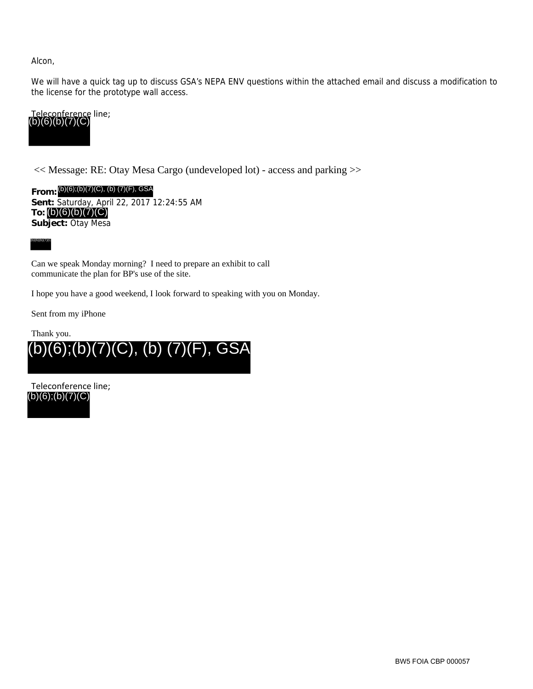Alcon,

We will have a quick tag up to discuss GSA's NEPA ENV questions within the attached email and discuss a modification to the license for the prototype wall access.



<< Message: RE: Otay Mesa Cargo (undeveloped lot) - access and parking >>

**From:** (b)(6);(b)(7)(C), (b) (7)(F), GSA **Sent:** Saturday, April 22, 2017 12:24:55 AM **To:** (b)(6)(b)(7)(C) **Subject:** Otay Mesa



Can we speak Monday morning? I need to prepare an exhibit to call communicate the plan for BP's use of the site.

I hope you have a good weekend, I look forward to speaking with you on Monday.

Sent from my iPhone

Thank you.



Teleconference line; (b)(6);(b)(7)(C)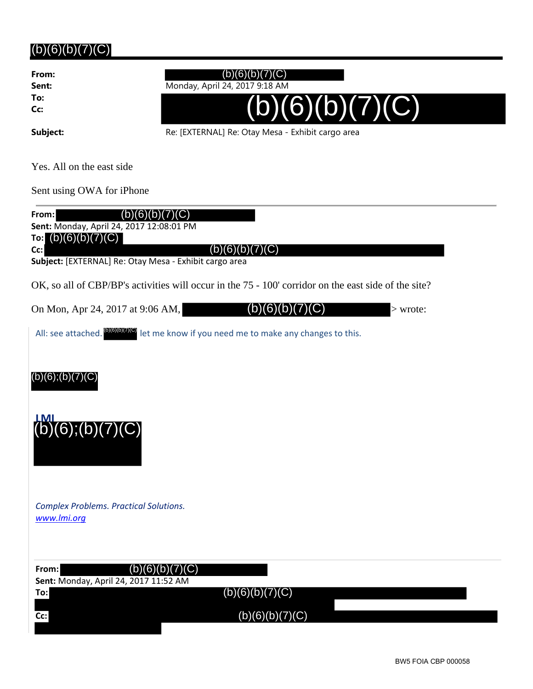**From: To: Cc:**

## $(b)(6)(b)(7)(C)$

**Sent:** Monday, April 24, 2017 9:18 AM



Subject: Subject: Re: [EXTERNAL] Re: Otay Mesa - Exhibit cargo area

Yes. All on the east side

Sent using OWA for iPhone

| (b)(6)(b)(7)(C)<br>From:<br>Sent: Monday, April 24, 2017 12:08:01 PM<br>To: $(b)(6)(b)(7)(C)$        |  |
|------------------------------------------------------------------------------------------------------|--|
| Cc:<br>(b)(6)(b)(7)(C)<br>Subject: [EXTERNAL] Re: Otay Mesa - Exhibit cargo area                     |  |
| OK, so all of CBP/BP's activities will occur in the 75 - 100' corridor on the east side of the site? |  |
| (b)(6)(b)(7)(C)<br>On Mon, Apr 24, 2017 at 9:06 AM,<br>$>$ wrote:                                    |  |
| All: see attached. <sup>(DIGID</sup> IO) let me know if you need me to make any changes to this.     |  |
|                                                                                                      |  |
| $(b)(6)$ ; $(b)(7)(C)$                                                                               |  |
|                                                                                                      |  |
| $(b)(6)$ ;(b)(7)(C)                                                                                  |  |
|                                                                                                      |  |
|                                                                                                      |  |
| <b>Complex Problems. Practical Solutions.</b>                                                        |  |
| www.lmi.org                                                                                          |  |
|                                                                                                      |  |
| (b)(6)(b)(7)(C)<br>From:<br>Sent: Monday, April 24, 2017 11:52 AM                                    |  |
| (b)(6)(b)(7)(C)<br>To:                                                                               |  |
| (b)(6)(b)(7)(C)<br>Cc:                                                                               |  |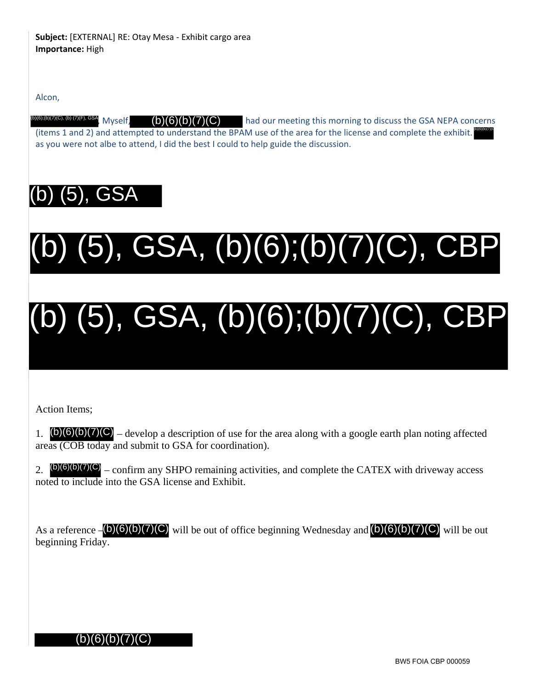Alcon,

Myself,  $(b)(6)(b)(7)(C)$  had our meeting this morning to discuss the GSA NEPA concerns (items 1 and 2) and attempted to understand the BPAM use of the area for the license and complete the exhibit. as you were not albe to attend, I did the best I could to help guide the discussion.  $(b)(6)(b)(7)(C)$ (b)(6)(b)(7)(C) (b)(6);(b)(7)(C), (b) (7)(F), GSA

# (b) (5), GSA

# (b) (5), GSA, (b)(6);(b)(7)(C), CBP

# (b) (5), GSA, (b)(6);(b)(7)(C), CBP

Action Items;

1.  $(b)(6)(b)(7)(C)$  – develop a description of use for the area along with a google earth plan noting affected areas (COB today and submit to GSA for coordination).

2.  $(b)(6)(b)(7)(C)$  – confirm any SHPO remaining activities, and complete the CATEX with driveway access noted to include into the GSA license and Exhibit.

As a reference  $-\frac{1}{2}$  (b)(6)(b)(7)(C) will be out of office beginning Wednesday and  $\frac{1}{2}$ (6)(b)(7)(C) will be out beginning Friday.

## (b)(6)(b)(7)(C)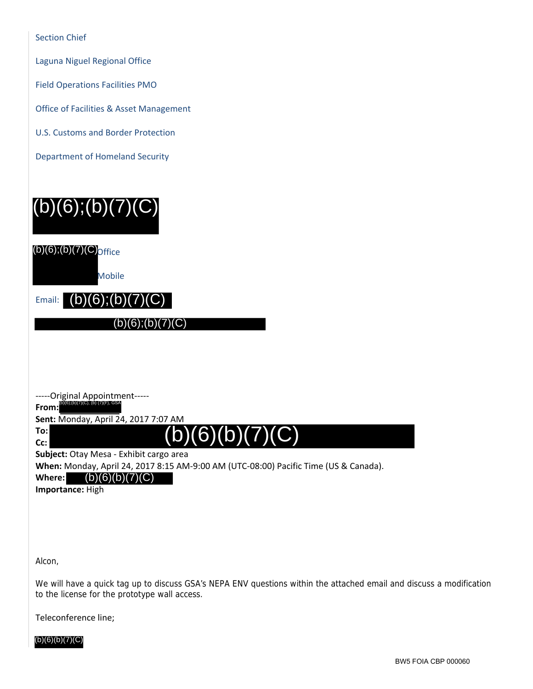|  |  |  |  | <b>Section Chief</b> |
|--|--|--|--|----------------------|

Laguna Niguel Regional Office

Field Operations Facilities PMO

Office of Facilities & Asset Management

U.S. Customs and Border Protection

Department of Homeland Security



‐‐‐‐‐Original Appointment‐‐‐‐‐

**From:** (b)(6);(b)(7)(C), (b) (7)(F), GSA

**Sent:** Monday, April 24, 2017 7:07 AM

**To: Cc:**

# $(b)(6)(b)(7)(C)$

**Subject:** Otay Mesa ‐ Exhibit cargo area

**When:** Monday, April 24, 2017 8:15 AM‐9:00 AM (UTC‐08:00) Pacific Time (US & Canada).

**Where:**  $(b)(6)(b)(7)(C)$ 

**Importance:** High

Alcon,

We will have a quick tag up to discuss GSA's NEPA ENV questions within the attached email and discuss a modification to the license for the prototype wall access.

Teleconference line;

 $(b)(6)(b)(7)(C)$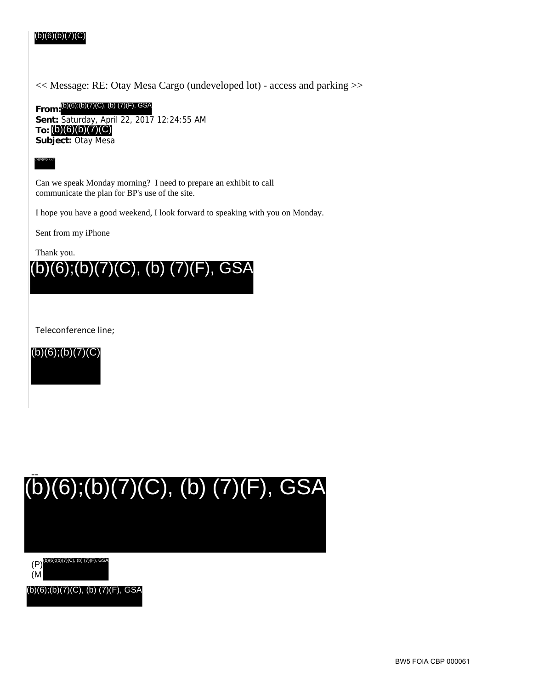#### BW5 FOIA CBP 000061

#### (b)(6)(b)(7)(C)

<< Message: RE: Otay Mesa Cargo (undeveloped lot) - access and parking >>

**From:** (b)(6);(b)(7)(C), (b) (7)(F), GSA **Sent:** Saturday, April 22, 2017 12:24:55 AM **To:** (b)(6)(b)(7)(C) **Subject:** Otay Mesa

(b)(6)(b)(7)(C)

Can we speak Monday morning? I need to prepare an exhibit to call communicate the plan for BP's use of the site.

I hope you have a good weekend, I look forward to speaking with you on Monday.

Sent from my iPhone

Thank you.



Teleconference line;





(P) (7)(C), (b) (7)(F), GSA

(M

(b)(6);(b)(7)(C), (b) (7)(F), GSA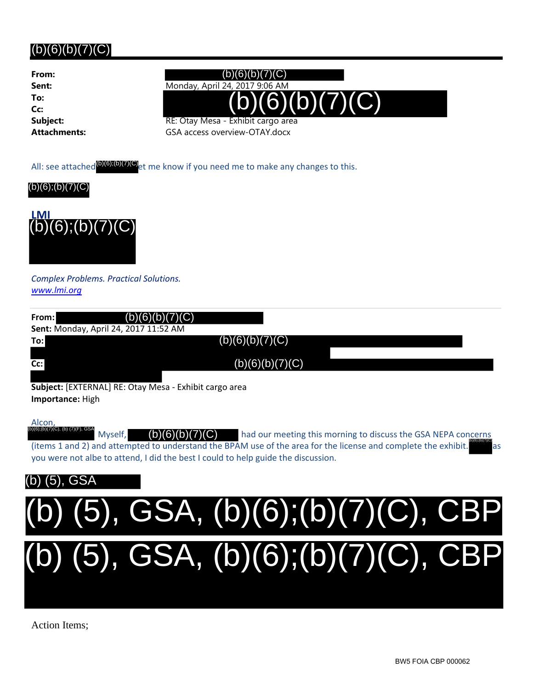**From: To: Cc:**

## **Sent:** Monday, April 24, 2017 9:06 AM **Subject:** RE: Otay Mesa - Exhibit cargo area (b)(6)(b)(7)(C)  $(b)(6)(b)(7)(C)$

**Attachments:** GSA access overview-OTAY.docx





|                                                                            | All: see attached <sup>(b)(6)</sup> ;(b)(7)(C) <sub>et</sub> me know if you need me to make any changes to this.                                                                                                                                                                                |
|----------------------------------------------------------------------------|-------------------------------------------------------------------------------------------------------------------------------------------------------------------------------------------------------------------------------------------------------------------------------------------------|
| (b)(6);(b)(7)(C)                                                           |                                                                                                                                                                                                                                                                                                 |
| $\frac{LMI}{(b)(6);(b)(7)(C)}$                                             |                                                                                                                                                                                                                                                                                                 |
| <b>Complex Problems. Practical Solutions.</b><br>www.lmi.org               |                                                                                                                                                                                                                                                                                                 |
| (C)<br>From:<br>(b)<br>6<br>Sent: Monday, April 24, 2017 11:52 AM          |                                                                                                                                                                                                                                                                                                 |
| To:                                                                        | (b)(6)(b)(7)(C)                                                                                                                                                                                                                                                                                 |
| Cc:                                                                        | (b)(6)(b)(7)(C)                                                                                                                                                                                                                                                                                 |
| Subject: [EXTERNAL] RE: Otay Mesa - Exhibit cargo area<br>Importance: High |                                                                                                                                                                                                                                                                                                 |
| Alcon,<br>b)(6);(b)(7)(C), (b) (7)(F), GSA<br>Myself,<br>6<br>(b           | had our meeting this morning to discuss the GSA NEPA concerns<br>material and the most controlled and the controlled and the controlled and the controlled and the controlled and the controlled and the controlled and the controlled and the controlled and the controlled and the controlled |

Alcon, Myself,  $(b)(6)(b)(7)(C)$  had our meeting this morning to discuss the GSA NEPA concerns (items 1 and 2) and attempted to understand the BPAM use of the area for the license and complete the exhibit. you were not albe to attend, I did the best I could to help guide the discussion.  $(b)(6)(b)(7)(C)$ (b)(6);(b)(7)(C) (b)(6);(b)(7)(C), (b) (7)(F), GSA

## (5), GSA



Action Items;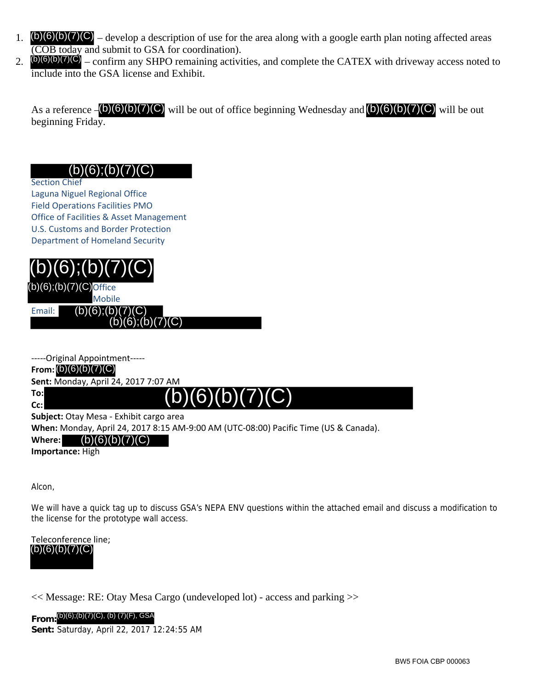- 1.  $(b)(6)(b)(7)(C)$  develop a description of use for the area along with a google earth plan noting affected areas (COB today and submit to GSA for coordination).
- 2.  $(b)(6)(b)(7)(C)$  confirm any SHPO remaining activities, and complete the CATEX with driveway access noted to include into the GSA license and Exhibit.

As a reference  $-\frac{1}{2}$  (6)(6)(b)(7)(C) will be out of office beginning Wednesday and  $\frac{1}{2}$ (6)(b)(7)(C) will be out beginning Friday.

### (b)(6);(b)(7)(C)

Section Chief Laguna Niguel Regional Office Field Operations Facilities PMO Office of Facilities & Asset Management U.S. Customs and Border Protection Department of Homeland Security



| -----Original Appointment----- |                                                                                      |
|--------------------------------|--------------------------------------------------------------------------------------|
| From: $(b)(6)(b)(7)(C)$        |                                                                                      |
|                                | Sent: Monday, April 24, 2017 7:07 AM                                                 |
| To:l                           | (b)(6)(b)(7)(C)                                                                      |
| $Cc$ :                         |                                                                                      |
|                                | Subject: Otay Mesa - Exhibit cargo area                                              |
|                                | When: Monday, April 24, 2017 8:15 AM-9:00 AM (UTC-08:00) Pacific Time (US & Canada). |

### **Where:** (b)(6)(b)(7)(C)

**Importance:** High

Alcon,

We will have a quick tag up to discuss GSA's NEPA ENV questions within the attached email and discuss a modification to the license for the prototype wall access.

Teleconference line; (b)(6)(b)(7)(C)

<< Message: RE: Otay Mesa Cargo (undeveloped lot) - access and parking >>

**From:** (b)(6);(b)(7)(C), (b) (7)(F), GSA**Sent:** Saturday, April 22, 2017 12:24:55 AM